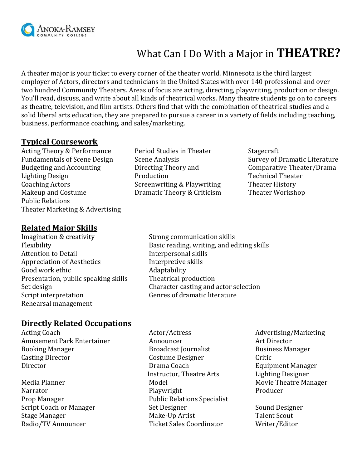

# What Can I Do With a Major in **THEATRE?**

A theater major is your ticket to every corner of the theater world. Minnesota is the third largest employer of Actors, directors and technicians in the United States with over 140 professional and over two hundred Community Theaters. Areas of focus are acting, directing, playwriting, production or design. You'll read, discuss, and write about all kinds of theatrical works. Many theatre students go on to careers as theatre, television, and film artists. Others find that with the combination of theatrical studies and a solid liberal arts education, they are prepared to pursue a career in a variety of fields including teaching, business, performance coaching, and sales/marketing.

#### **Typical Coursework**

Acting Theory & Performance Fundamentals of Scene Design Budgeting and Accounting Lighting Design Coaching Actors Makeup and Costume Public Relations Theater Marketing & Advertising

- **Related Major Skills**
- Imagination & creativity Strong communication skills Attention to Detail **Interpersonal skills** Appreciation of Aesthetics The Interpretive skills Good work ethic **Adaptability** Adaptability Presentation, public speaking skills Theatrical production Script interpretation Genres of dramatic literature Rehearsal management
- Period Studies in Theater Scene Analysis Directing Theory and Production Screenwriting & Playwriting Dramatic Theory & Criticism

Stagecraft Survey of Dramatic Literature Comparative Theater/Drama Technical Theater Theater History Theater Workshop

Flexibility Basic reading, writing, and editing skills Set design Character casting and actor selection

#### **Directly Related Occupations**

Acting Coach **Actor/Actress** Actor/Actress Advertising/Marketing Amusement Park Entertainer Announcer and Announcer Art Director Booking Manager Broadcast Journalist Business Manager Casting Director **Costume Designer** Critic Director **Drama Coach** Equipment Manager

Instructor, Theatre Arts Lighting Designer Media Planner **Model** Model Model Movie Theatre Manager Narrator Playwright Playwright Producer Prop Manager **Public Relations Specialist** Script Coach or Manager Set Designer Set Designer Sound Designer Stage Manager **Make-Up Artist** Talent Scout Radio/TV Announcer Ticket Sales Coordinator Writer/Editor